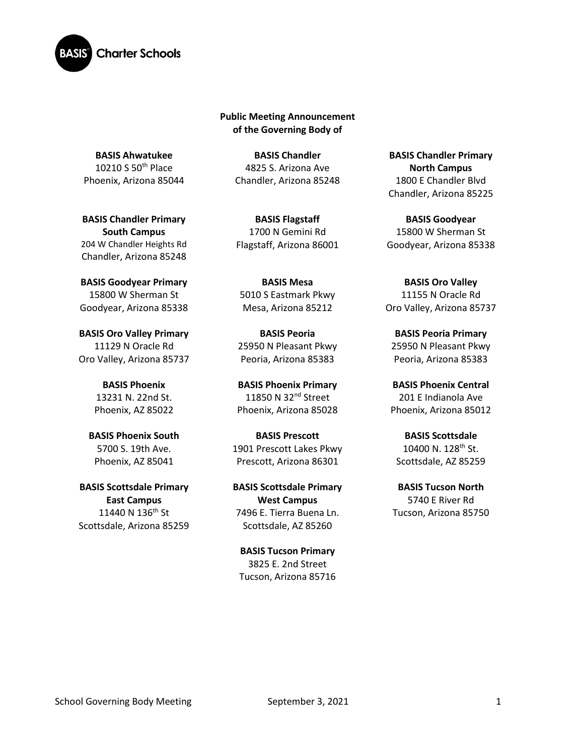

**Public Meeting Announcement of the Governing Body of** 

**BASIS Ahwatukee** 10210 S 50th Place Phoenix, Arizona 85044

**BASIS Chandler Primary South Campus**  204 W Chandler Heights Rd Chandler, Arizona 85248

**BASIS Goodyear Primary** 15800 W Sherman St Goodyear, Arizona 85338

**BASIS Oro Valley Primary**  11129 N Oracle Rd Oro Valley, Arizona 85737

> **BASIS Phoenix** 13231 N. 22nd St. Phoenix, AZ 85022

**BASIS Phoenix South**  5700 S. 19th Ave. Phoenix, AZ 85041

**BASIS Scottsdale Primary East Campus** 11440 N 136<sup>th</sup> St Scottsdale, Arizona 85259

**BASIS Chandler** 4825 S. Arizona Ave Chandler, Arizona 85248

**BASIS Flagstaff** 1700 N Gemini Rd Flagstaff, Arizona 86001

**BASIS Mesa**  5010 S Eastmark Pkwy Mesa, Arizona 85212

**BASIS Peoria** 25950 N Pleasant Pkwy Peoria, Arizona 85383

**BASIS Phoenix Primary** 11850 N 32<sup>nd</sup> Street Phoenix, Arizona 85028

**BASIS Prescott** 1901 Prescott Lakes Pkwy Prescott, Arizona 86301

**BASIS Scottsdale Primary West Campus** 7496 E. Tierra Buena Ln. Scottsdale, AZ 85260

**BASIS Tucson Primary** 3825 E. 2nd Street Tucson, Arizona 85716

**BASIS Chandler Primary North Campus** 1800 E Chandler Blvd Chandler, Arizona 85225

**BASIS Goodyear** 15800 W Sherman St Goodyear, Arizona 85338

**BASIS Oro Valley** 11155 N Oracle Rd Oro Valley, Arizona 85737

**BASIS Peoria Primary**  25950 N Pleasant Pkwy Peoria, Arizona 85383

**BASIS Phoenix Central** 201 E Indianola Ave Phoenix, Arizona 85012

**BASIS Scottsdale** 10400 N.  $128^{th}$  St. Scottsdale, AZ 85259

**BASIS Tucson North** 5740 E River Rd Tucson, Arizona 85750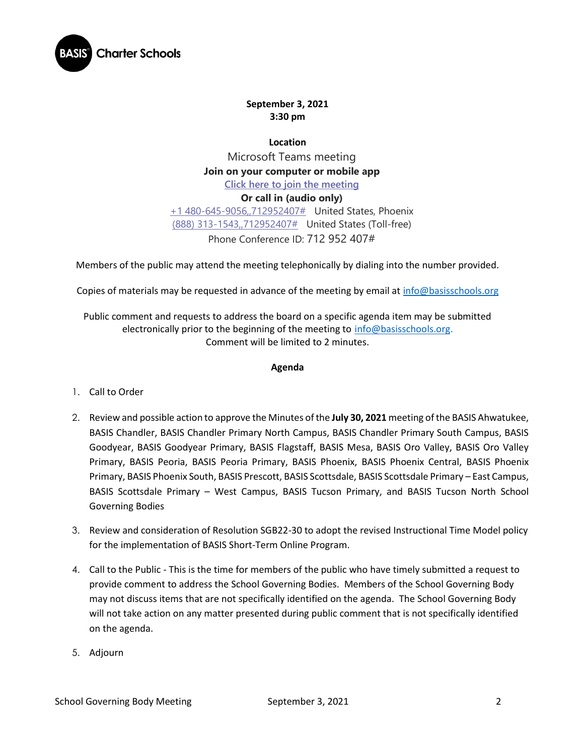

## **September 3, 2021 3:30 pm**

**Location** Microsoft Teams meeting **Join on your computer or mobile app [Click here to join the meeting](https://teams.microsoft.com/l/meetup-join/19%3ameeting_NDdhZjYyNGYtN2M4OS00YWI3LThhMzItODdmYTE3YjE4Mzk5%40thread.v2/0?context=%7b%22Tid%22%3a%22e5f3479c-502f-4e92-b060-0c0c560d6271%22%2c%22Oid%22%3a%22575e4f74-824e-48e9-9805-77af91568d41%22%7d) Or call in (audio only)** [+1 480-645-9056,,712952407#](tel:+14806459056,,712952407# ) United States, Phoenix [\(888\) 313-1543,,712952407#](tel:8883131543,,712952407# ) United States (Toll-free) Phone Conference ID: 712 952 407#

Members of the public may attend the meeting telephonically by dialing into the number provided.

Copies of materials may be requested in advance of the meeting by email at [info@basisschools.org](mailto:info@basisschools.org)

Public comment and requests to address the board on a specific agenda item may be submitted electronically prior to the beginning of the meeting to [info@basisschools.org.](mailto:info@basisschools.org) Comment will be limited to 2 minutes.

## **Agenda**

- 1. Call to Order
- 2. Review and possible action to approve the Minutes of the **July 30, 2021** meeting of the BASIS Ahwatukee, BASIS Chandler, BASIS Chandler Primary North Campus, BASIS Chandler Primary South Campus, BASIS Goodyear, BASIS Goodyear Primary, BASIS Flagstaff, BASIS Mesa, BASIS Oro Valley, BASIS Oro Valley Primary, BASIS Peoria, BASIS Peoria Primary, BASIS Phoenix, BASIS Phoenix Central, BASIS Phoenix Primary, BASIS Phoenix South, BASIS Prescott, BASIS Scottsdale, BASIS Scottsdale Primary – East Campus, BASIS Scottsdale Primary – West Campus, BASIS Tucson Primary, and BASIS Tucson North School Governing Bodies
- 3. Review and consideration of Resolution SGB22-30 to adopt the revised Instructional Time Model policy for the implementation of BASIS Short-Term Online Program.
- 4. Call to the Public This is the time for members of the public who have timely submitted a request to provide comment to address the School Governing Bodies. Members of the School Governing Body may not discuss items that are not specifically identified on the agenda. The School Governing Body will not take action on any matter presented during public comment that is not specifically identified on the agenda.
- 5. Adjourn